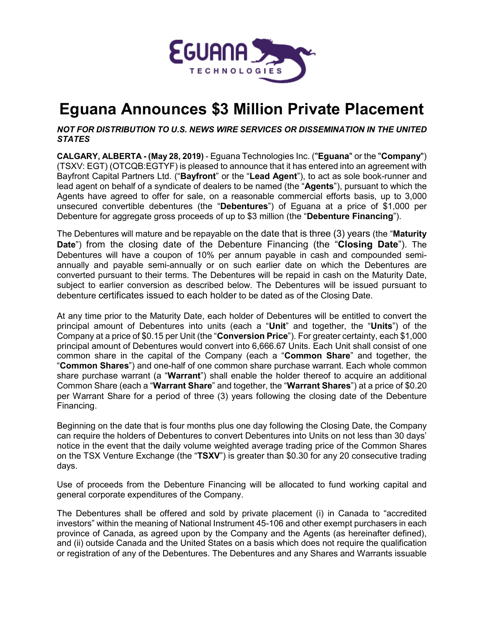

# **Eguana Announces \$3 Million Private Placement**

# *NOT FOR DISTRIBUTION TO U.S. NEWS WIRE SERVICES OR DISSEMINATION IN THE UNITED STATES*

**CALGARY, ALBERTA - (May 28, 2019)** - Eguana Technologies Inc. ("**Eguana**" or the "**Company**") (TSXV: EGT) (OTCQB:EGTYF) is pleased to announce that it has entered into an agreement with Bayfront Capital Partners Ltd. ("**Bayfront**" or the "**Lead Agent**"), to act as sole book-runner and lead agent on behalf of a syndicate of dealers to be named (the "**Agents**"), pursuant to which the Agents have agreed to offer for sale, on a reasonable commercial efforts basis, up to 3,000 unsecured convertible debentures (the "**Debentures**") of Eguana at a price of \$1,000 per Debenture for aggregate gross proceeds of up to \$3 million (the "**Debenture Financing**").

The Debentures will mature and be repayable on the date that is three (3) years (the "**Maturity Date**") from the closing date of the Debenture Financing (the "**Closing Date**"). The Debentures will have a coupon of 10% per annum payable in cash and compounded semiannually and payable semi-annually or on such earlier date on which the Debentures are converted pursuant to their terms. The Debentures will be repaid in cash on the Maturity Date, subject to earlier conversion as described below. The Debentures will be issued pursuant to debenture certificates issued to each holder to be dated as of the Closing Date.

At any time prior to the Maturity Date, each holder of Debentures will be entitled to convert the principal amount of Debentures into units (each a "**Unit**" and together, the "**Units**") of the Company at a price of \$0.15 per Unit (the "**Conversion Price**"). For greater certainty, each \$1,000 principal amount of Debentures would convert into 6,666.67 Units. Each Unit shall consist of one common share in the capital of the Company (each a "**Common Share**" and together, the "**Common Shares**") and one-half of one common share purchase warrant. Each whole common share purchase warrant (a "**Warrant**") shall enable the holder thereof to acquire an additional Common Share (each a "**Warrant Share**" and together, the "**Warrant Shares**") at a price of \$0.20 per Warrant Share for a period of three (3) years following the closing date of the Debenture Financing.

Beginning on the date that is four months plus one day following the Closing Date, the Company can require the holders of Debentures to convert Debentures into Units on not less than 30 days' notice in the event that the daily volume weighted average trading price of the Common Shares on the TSX Venture Exchange (the "**TSXV**") is greater than \$0.30 for any 20 consecutive trading days.

Use of proceeds from the Debenture Financing will be allocated to fund working capital and general corporate expenditures of the Company.

The Debentures shall be offered and sold by private placement (i) in Canada to "accredited investors" within the meaning of National Instrument 45-106 and other exempt purchasers in each province of Canada, as agreed upon by the Company and the Agents (as hereinafter defined), and (ii) outside Canada and the United States on a basis which does not require the qualification or registration of any of the Debentures. The Debentures and any Shares and Warrants issuable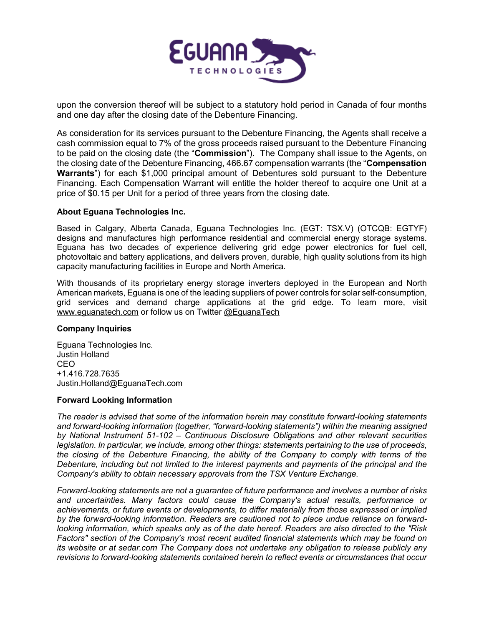

upon the conversion thereof will be subject to a statutory hold period in Canada of four months and one day after the closing date of the Debenture Financing.

As consideration for its services pursuant to the Debenture Financing, the Agents shall receive a cash commission equal to 7% of the gross proceeds raised pursuant to the Debenture Financing to be paid on the closing date (the "**Commission**"). The Company shall issue to the Agents, on the closing date of the Debenture Financing, 466.67 compensation warrants (the "**Compensation Warrants**") for each \$1,000 principal amount of Debentures sold pursuant to the Debenture Financing. Each Compensation Warrant will entitle the holder thereof to acquire one Unit at a price of \$0.15 per Unit for a period of three years from the closing date.

## **About Eguana Technologies Inc.**

Based in Calgary, Alberta Canada, Eguana Technologies Inc. (EGT: TSX.V) (OTCQB: EGTYF) designs and manufactures high performance residential and commercial energy storage systems. Eguana has two decades of experience delivering grid edge power electronics for fuel cell, photovoltaic and battery applications, and delivers proven, durable, high quality solutions from its high capacity manufacturing facilities in Europe and North America.

With thousands of its proprietary energy storage inverters deployed in the European and North American markets, Eguana is one of the leading suppliers of power controls for solar self-consumption, grid services and demand charge applications at the grid edge. To learn more, visit [www.eguanatech.com](http://www.eguanatech.com/) or follow us on Twitter [@EguanaTech](https://twitter.com/EguanaTech)

### **Company Inquiries**

Eguana Technologies Inc. Justin Holland CEO +1.416.728.7635 Justin.Holland@EguanaTech.com

### **Forward Looking Information**

*The reader is advised that some of the information herein may constitute forward-looking statements and forward-looking information (together, "forward-looking statements") within the meaning assigned by National Instrument 51-102 – Continuous Disclosure Obligations and other relevant securities legislation. In particular, we include, among other things: statements pertaining to the use of proceeds, the closing of the Debenture Financing, the ability of the Company to comply with terms of the Debenture, including but not limited to the interest payments and payments of the principal and the Company's ability to obtain necessary approvals from the TSX Venture Exchange.*

*Forward-looking statements are not a guarantee of future performance and involves a number of risks and uncertainties. Many factors could cause the Company's actual results, performance or achievements, or future events or developments, to differ materially from those expressed or implied by the forward-looking information. Readers are cautioned not to place undue reliance on forwardlooking information, which speaks only as of the date hereof. Readers are also directed to the "Risk Factors" section of the Company's most recent audited financial statements which may be found on its website or at sedar.com The Company does not undertake any obligation to release publicly any revisions to forward-looking statements contained herein to reflect events or circumstances that occur*